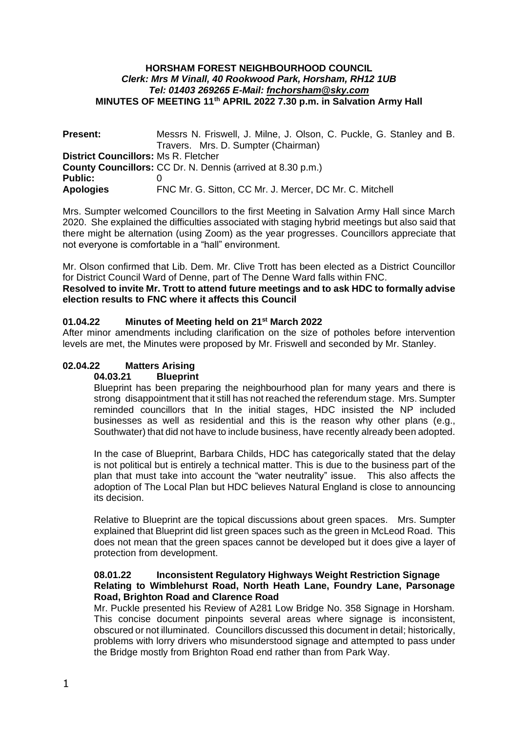#### **HORSHAM FOREST NEIGHBOURHOOD COUNCIL** *Clerk: Mrs M Vinall, 40 Rookwood Park, Horsham, RH12 1UB Tel: 01403 269265 E-Mail: [fnchorsham@sky.com](about:blank)* **MINUTES OF MEETING 11th APRIL 2022 7.30 p.m. in Salvation Army Hall**

| <b>Present:</b>                                                    | Messrs N. Friswell, J. Milne, J. Olson, C. Puckle, G. Stanley and B. |  |  |
|--------------------------------------------------------------------|----------------------------------------------------------------------|--|--|
|                                                                    | Travers. Mrs. D. Sumpter (Chairman)                                  |  |  |
| <b>District Councillors: Ms R. Fletcher</b>                        |                                                                      |  |  |
| <b>County Councillors:</b> CC Dr. N. Dennis (arrived at 8.30 p.m.) |                                                                      |  |  |
| <b>Public:</b>                                                     |                                                                      |  |  |
| <b>Apologies</b>                                                   | FNC Mr. G. Sitton, CC Mr. J. Mercer, DC Mr. C. Mitchell              |  |  |

Mrs. Sumpter welcomed Councillors to the first Meeting in Salvation Army Hall since March 2020. She explained the difficulties associated with staging hybrid meetings but also said that there might be alternation (using Zoom) as the year progresses. Councillors appreciate that not everyone is comfortable in a "hall" environment.

Mr. Olson confirmed that Lib. Dem. Mr. Clive Trott has been elected as a District Councillor for District Council Ward of Denne, part of The Denne Ward falls within FNC.

#### **Resolved to invite Mr. Trott to attend future meetings and to ask HDC to formally advise election results to FNC where it affects this Council**

## **01.04.22 Minutes of Meeting held on 21st March 2022**

After minor amendments including clarification on the size of potholes before intervention levels are met, the Minutes were proposed by Mr. Friswell and seconded by Mr. Stanley.

# **02.04.22 Matters Arising**

#### **04.03.21 Blueprint**

Blueprint has been preparing the neighbourhood plan for many years and there is strong disappointment that it still has not reached the referendum stage. Mrs. Sumpter reminded councillors that In the initial stages, HDC insisted the NP included businesses as well as residential and this is the reason why other plans (e.g., Southwater) that did not have to include business, have recently already been adopted.

In the case of Blueprint, Barbara Childs, HDC has categorically stated that the delay is not political but is entirely a technical matter. This is due to the business part of the plan that must take into account the "water neutrality" issue. This also affects the adoption of The Local Plan but HDC believes Natural England is close to announcing its decision.

Relative to Blueprint are the topical discussions about green spaces. Mrs. Sumpter explained that Blueprint did list green spaces such as the green in McLeod Road. This does not mean that the green spaces cannot be developed but it does give a layer of protection from development.

### **08.01.22 Inconsistent Regulatory Highways Weight Restriction Signage Relating to Wimblehurst Road, North Heath Lane, Foundry Lane, Parsonage Road, Brighton Road and Clarence Road**

Mr. Puckle presented his Review of A281 Low Bridge No. 358 Signage in Horsham. This concise document pinpoints several areas where signage is inconsistent, obscured or not illuminated. Councillors discussed this document in detail; historically, problems with lorry drivers who misunderstood signage and attempted to pass under the Bridge mostly from Brighton Road end rather than from Park Way.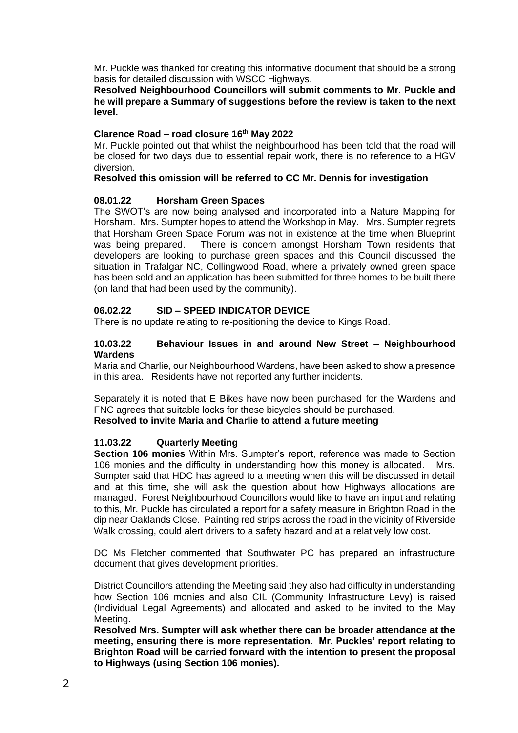Mr. Puckle was thanked for creating this informative document that should be a strong basis for detailed discussion with WSCC Highways.

**Resolved Neighbourhood Councillors will submit comments to Mr. Puckle and he will prepare a Summary of suggestions before the review is taken to the next level.**

## **Clarence Road – road closure 16th May 2022**

Mr. Puckle pointed out that whilst the neighbourhood has been told that the road will be closed for two days due to essential repair work, there is no reference to a HGV diversion.

#### **Resolved this omission will be referred to CC Mr. Dennis for investigation**

#### **08.01.22 Horsham Green Spaces**

The SWOT's are now being analysed and incorporated into a Nature Mapping for Horsham. Mrs. Sumpter hopes to attend the Workshop in May. Mrs. Sumpter regrets that Horsham Green Space Forum was not in existence at the time when Blueprint was being prepared. There is concern amongst Horsham Town residents that developers are looking to purchase green spaces and this Council discussed the situation in Trafalgar NC, Collingwood Road, where a privately owned green space has been sold and an application has been submitted for three homes to be built there (on land that had been used by the community).

## **06.02.22 SID – SPEED INDICATOR DEVICE**

There is no update relating to re-positioning the device to Kings Road.

#### **10.03.22 Behaviour Issues in and around New Street – Neighbourhood Wardens**

Maria and Charlie, our Neighbourhood Wardens, have been asked to show a presence in this area. Residents have not reported any further incidents.

Separately it is noted that E Bikes have now been purchased for the Wardens and FNC agrees that suitable locks for these bicycles should be purchased. **Resolved to invite Maria and Charlie to attend a future meeting**

## **11.03.22 Quarterly Meeting**

**Section 106 monies** Within Mrs. Sumpter's report, reference was made to Section 106 monies and the difficulty in understanding how this money is allocated. Mrs. Sumpter said that HDC has agreed to a meeting when this will be discussed in detail and at this time, she will ask the question about how Highways allocations are managed. Forest Neighbourhood Councillors would like to have an input and relating to this, Mr. Puckle has circulated a report for a safety measure in Brighton Road in the dip near Oaklands Close. Painting red strips across the road in the vicinity of Riverside Walk crossing, could alert drivers to a safety hazard and at a relatively low cost.

DC Ms Fletcher commented that Southwater PC has prepared an infrastructure document that gives development priorities.

District Councillors attending the Meeting said they also had difficulty in understanding how Section 106 monies and also CIL (Community Infrastructure Levy) is raised (Individual Legal Agreements) and allocated and asked to be invited to the May Meeting.

**Resolved Mrs. Sumpter will ask whether there can be broader attendance at the meeting, ensuring there is more representation. Mr. Puckles' report relating to Brighton Road will be carried forward with the intention to present the proposal to Highways (using Section 106 monies).**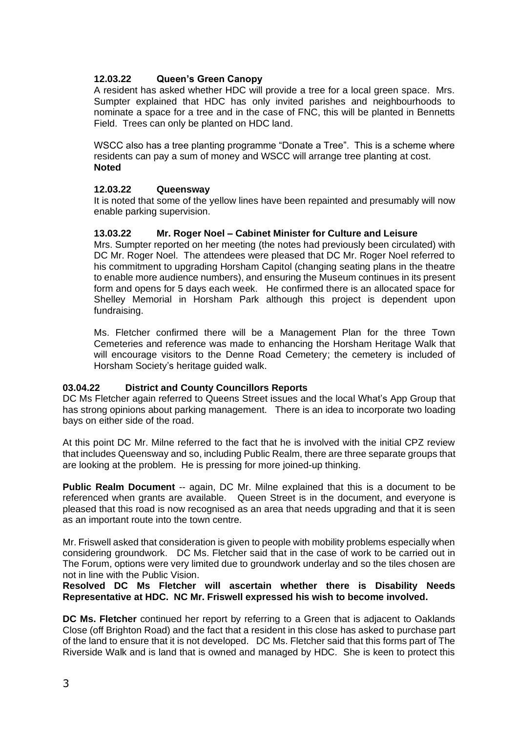# **12.03.22 Queen's Green Canopy**

A resident has asked whether HDC will provide a tree for a local green space. Mrs. Sumpter explained that HDC has only invited parishes and neighbourhoods to nominate a space for a tree and in the case of FNC, this will be planted in Bennetts Field. Trees can only be planted on HDC land.

WSCC also has a tree planting programme "Donate a Tree". This is a scheme where residents can pay a sum of money and WSCC will arrange tree planting at cost. **Noted**

## **12.03.22 Queensway**

It is noted that some of the yellow lines have been repainted and presumably will now enable parking supervision.

#### **13.03.22 Mr. Roger Noel – Cabinet Minister for Culture and Leisure**

Mrs. Sumpter reported on her meeting (the notes had previously been circulated) with DC Mr. Roger Noel. The attendees were pleased that DC Mr. Roger Noel referred to his commitment to upgrading Horsham Capitol (changing seating plans in the theatre to enable more audience numbers), and ensuring the Museum continues in its present form and opens for 5 days each week. He confirmed there is an allocated space for Shelley Memorial in Horsham Park although this project is dependent upon fundraising.

Ms. Fletcher confirmed there will be a Management Plan for the three Town Cemeteries and reference was made to enhancing the Horsham Heritage Walk that will encourage visitors to the Denne Road Cemetery; the cemetery is included of Horsham Society's heritage guided walk.

## **03.04.22 District and County Councillors Reports**

DC Ms Fletcher again referred to Queens Street issues and the local What's App Group that has strong opinions about parking management. There is an idea to incorporate two loading bays on either side of the road.

At this point DC Mr. Milne referred to the fact that he is involved with the initial CPZ review that includes Queensway and so, including Public Realm, there are three separate groups that are looking at the problem. He is pressing for more joined-up thinking.

**Public Realm Document** -- again, DC Mr. Milne explained that this is a document to be referenced when grants are available. Queen Street is in the document, and everyone is pleased that this road is now recognised as an area that needs upgrading and that it is seen as an important route into the town centre.

Mr. Friswell asked that consideration is given to people with mobility problems especially when considering groundwork. DC Ms. Fletcher said that in the case of work to be carried out in The Forum, options were very limited due to groundwork underlay and so the tiles chosen are not in line with the Public Vision.

### **Resolved DC Ms Fletcher will ascertain whether there is Disability Needs Representative at HDC. NC Mr. Friswell expressed his wish to become involved.**

**DC Ms. Fletcher** continued her report by referring to a Green that is adjacent to Oaklands Close (off Brighton Road) and the fact that a resident in this close has asked to purchase part of the land to ensure that it is not developed. DC Ms. Fletcher said that this forms part of The Riverside Walk and is land that is owned and managed by HDC. She is keen to protect this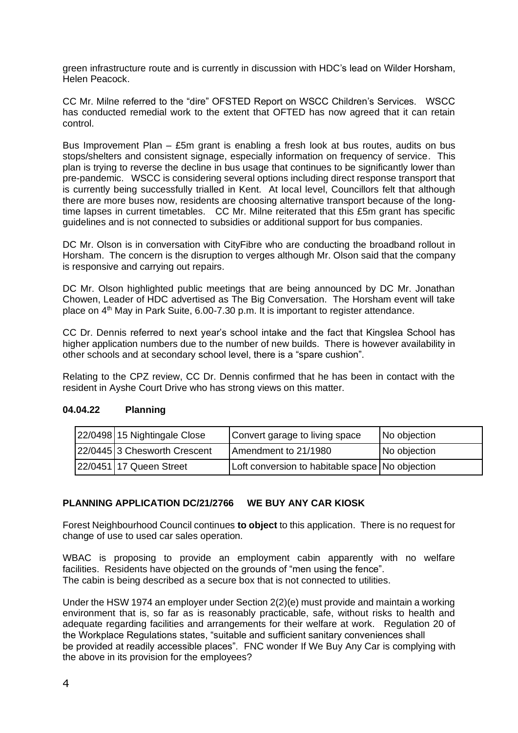green infrastructure route and is currently in discussion with HDC's lead on Wilder Horsham, Helen Peacock.

CC Mr. Milne referred to the "dire" OFSTED Report on WSCC Children's Services. WSCC has conducted remedial work to the extent that OFTED has now agreed that it can retain control.

Bus Improvement Plan – £5m grant is enabling a fresh look at bus routes, audits on bus stops/shelters and consistent signage, especially information on frequency of service. This plan is trying to reverse the decline in bus usage that continues to be significantly lower than pre-pandemic. WSCC is considering several options including direct response transport that is currently being successfully trialled in Kent. At local level, Councillors felt that although there are more buses now, residents are choosing alternative transport because of the longtime lapses in current timetables. CC Mr. Milne reiterated that this £5m grant has specific guidelines and is not connected to subsidies or additional support for bus companies.

DC Mr. Olson is in conversation with CityFibre who are conducting the broadband rollout in Horsham. The concern is the disruption to verges although Mr. Olson said that the company is responsive and carrying out repairs.

DC Mr. Olson highlighted public meetings that are being announced by DC Mr. Jonathan Chowen, Leader of HDC advertised as The Big Conversation. The Horsham event will take place on  $4<sup>th</sup>$  May in Park Suite, 6.00-7.30 p.m. It is important to register attendance.

CC Dr. Dennis referred to next year's school intake and the fact that Kingslea School has higher application numbers due to the number of new builds. There is however availability in other schools and at secondary school level, there is a "spare cushion".

Relating to the CPZ review, CC Dr. Dennis confirmed that he has been in contact with the resident in Ayshe Court Drive who has strong views on this matter.

| 22/0498 15 Nightingale Close | Convert garage to living space                  | No objection |
|------------------------------|-------------------------------------------------|--------------|
| 22/0445 3 Chesworth Crescent | Amendment to 21/1980                            | No objection |
| 22/0451 17 Queen Street      | Loft conversion to habitable space No objection |              |

# **04.04.22 Planning**

# **PLANNING APPLICATION DC/21/2766 WE BUY ANY CAR KIOSK**

Forest Neighbourhood Council continues **to object** to this application. There is no request for change of use to used car sales operation.

WBAC is proposing to provide an employment cabin apparently with no welfare facilities. Residents have objected on the grounds of "men using the fence". The cabin is being described as a secure box that is not connected to utilities.

Under the HSW 1974 an employer under Section 2(2)(e) must provide and maintain a working environment that is, so far as is reasonably practicable, safe, without risks to health and adequate regarding facilities and arrangements for their welfare at work. Regulation 20 of the Workplace Regulations states, "suitable and sufficient sanitary conveniences shall be provided at readily accessible places". FNC wonder If We Buy Any Car is complying with the above in its provision for the employees?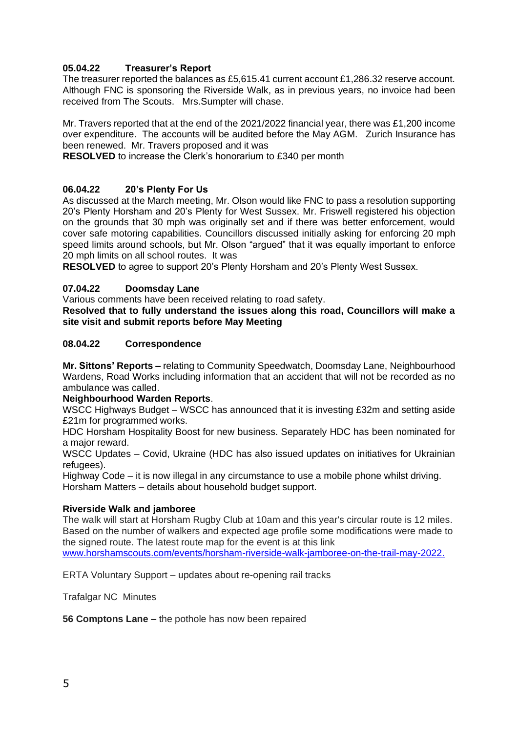# **05.04.22 Treasurer's Report**

The treasurer reported the balances as £5,615.41 current account £1,286.32 reserve account. Although FNC is sponsoring the Riverside Walk, as in previous years, no invoice had been received from The Scouts. Mrs.Sumpter will chase.

Mr. Travers reported that at the end of the 2021/2022 financial year, there was £1,200 income over expenditure. The accounts will be audited before the May AGM. Zurich Insurance has been renewed. Mr. Travers proposed and it was

**RESOLVED** to increase the Clerk's honorarium to £340 per month

## **06.04.22 20's Plenty For Us**

As discussed at the March meeting, Mr. Olson would like FNC to pass a resolution supporting 20's Plenty Horsham and 20's Plenty for West Sussex. Mr. Friswell registered his objection on the grounds that 30 mph was originally set and if there was better enforcement, would cover safe motoring capabilities. Councillors discussed initially asking for enforcing 20 mph speed limits around schools, but Mr. Olson "argued" that it was equally important to enforce 20 mph limits on all school routes. It was

**RESOLVED** to agree to support 20's Plenty Horsham and 20's Plenty West Sussex.

## **07.04.22 Doomsday Lane**

Various comments have been received relating to road safety.

**Resolved that to fully understand the issues along this road, Councillors will make a site visit and submit reports before May Meeting**

## **08.04.22 Correspondence**

**Mr. Sittons' Reports –** relating to Community Speedwatch, Doomsday Lane, Neighbourhood Wardens, Road Works including information that an accident that will not be recorded as no ambulance was called.

## **Neighbourhood Warden Reports**.

WSCC Highways Budget – WSCC has announced that it is investing £32m and setting aside £21m for programmed works.

HDC Horsham Hospitality Boost for new business. Separately HDC has been nominated for a major reward.

WSCC Updates – Covid, Ukraine (HDC has also issued updates on initiatives for Ukrainian refugees).

Highway Code – it is now illegal in any circumstance to use a mobile phone whilst driving. Horsham Matters – details about household budget support.

## **Riverside Walk and jamboree**

The walk will start at Horsham Rugby Club at 10am and this year's circular route is 12 miles. Based on the number of walkers and expected age profile some modifications were made to the signed route. The latest route map for the event is at this link [www.horshamscouts.com/events/horsham-riverside-walk-jamboree-on-the-trail-may-2022.](http://www.horshamscouts.com/events/horsham-riverside-walk-jamboree-on-the-trail-may-2022)

ERTA Voluntary Support – updates about re-opening rail tracks

Trafalgar NC Minutes

**56 Comptons Lane –** the pothole has now been repaired